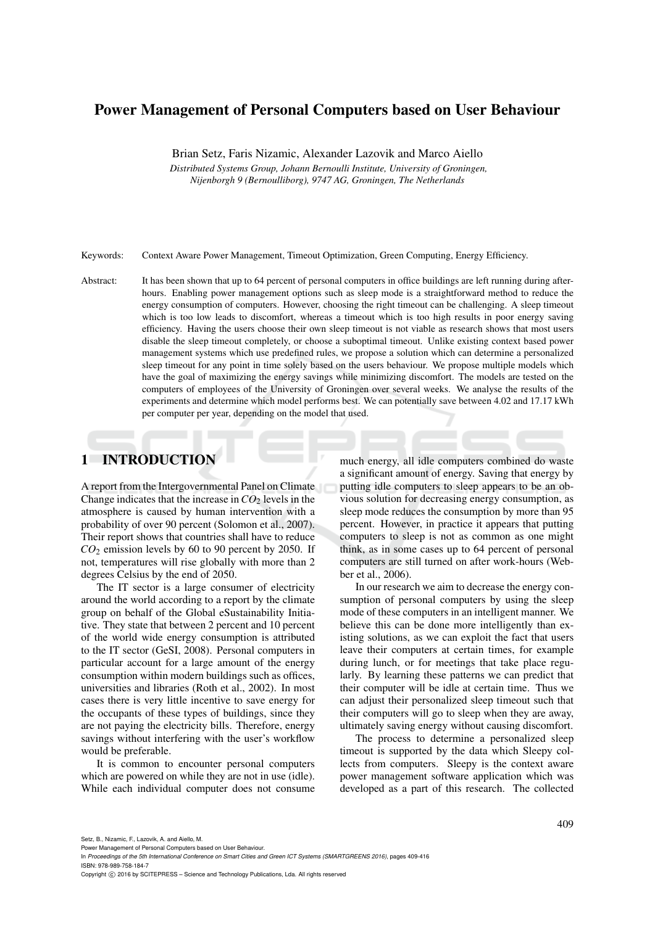# Power Management of Personal Computers based on User Behaviour

Brian Setz, Faris Nizamic, Alexander Lazovik and Marco Aiello

*Distributed Systems Group, Johann Bernoulli Institute, University of Groningen, Nijenborgh 9 (Bernoulliborg), 9747 AG, Groningen, The Netherlands*

Keywords: Context Aware Power Management, Timeout Optimization, Green Computing, Energy Efficiency.

Abstract: It has been shown that up to 64 percent of personal computers in office buildings are left running during afterhours. Enabling power management options such as sleep mode is a straightforward method to reduce the energy consumption of computers. However, choosing the right timeout can be challenging. A sleep timeout which is too low leads to discomfort, whereas a timeout which is too high results in poor energy saving efficiency. Having the users choose their own sleep timeout is not viable as research shows that most users disable the sleep timeout completely, or choose a suboptimal timeout. Unlike existing context based power management systems which use predefined rules, we propose a solution which can determine a personalized sleep timeout for any point in time solely based on the users behaviour. We propose multiple models which have the goal of maximizing the energy savings while minimizing discomfort. The models are tested on the computers of employees of the University of Groningen over several weeks. We analyse the results of the experiments and determine which model performs best. We can potentially save between 4.02 and 17.17 kWh per computer per year, depending on the model that used.

# 1 INTRODUCTION

A report from the Intergovernmental Panel on Climate Change indicates that the increase in  $CO<sub>2</sub>$  levels in the atmosphere is caused by human intervention with a probability of over 90 percent (Solomon et al., 2007). Their report shows that countries shall have to reduce  $CO<sub>2</sub>$  emission levels by 60 to 90 percent by 2050. If not, temperatures will rise globally with more than 2 degrees Celsius by the end of 2050.

The IT sector is a large consumer of electricity around the world according to a report by the climate group on behalf of the Global eSustainability Initiative. They state that between 2 percent and 10 percent of the world wide energy consumption is attributed to the IT sector (GeSI, 2008). Personal computers in particular account for a large amount of the energy consumption within modern buildings such as offices, universities and libraries (Roth et al., 2002). In most cases there is very little incentive to save energy for the occupants of these types of buildings, since they are not paying the electricity bills. Therefore, energy savings without interfering with the user's workflow would be preferable.

It is common to encounter personal computers which are powered on while they are not in use (idle). While each individual computer does not consume much energy, all idle computers combined do waste a significant amount of energy. Saving that energy by putting idle computers to sleep appears to be an obvious solution for decreasing energy consumption, as sleep mode reduces the consumption by more than 95 percent. However, in practice it appears that putting computers to sleep is not as common as one might think, as in some cases up to 64 percent of personal computers are still turned on after work-hours (Webber et al., 2006).

In our research we aim to decrease the energy consumption of personal computers by using the sleep mode of these computers in an intelligent manner. We believe this can be done more intelligently than existing solutions, as we can exploit the fact that users leave their computers at certain times, for example during lunch, or for meetings that take place regularly. By learning these patterns we can predict that their computer will be idle at certain time. Thus we can adjust their personalized sleep timeout such that their computers will go to sleep when they are away, ultimately saving energy without causing discomfort.

The process to determine a personalized sleep timeout is supported by the data which Sleepy collects from computers. Sleepy is the context aware power management software application which was developed as a part of this research. The collected

Copyright C 2016 by SCITEPRESS - Science and Technology Publications, Lda. All rights reserved

Power Management of Personal Computers based on User Behaviour.

In *Proceedings of the 5th International Conference on Smart Cities and Green ICT Systems (SMARTGREENS 2016)*, pages 409-416 ISBN: 978-989-758-184-7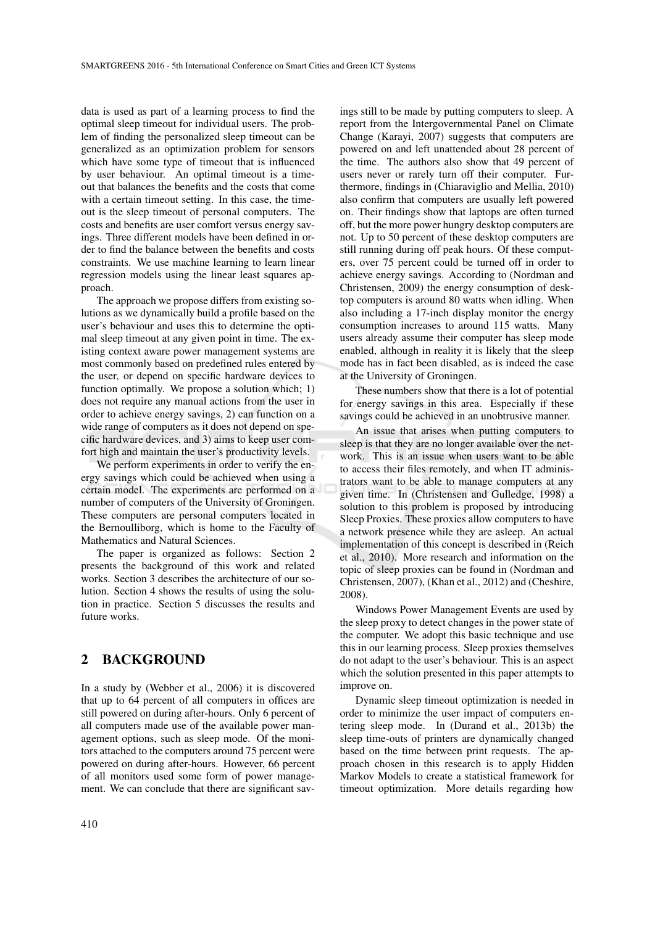data is used as part of a learning process to find the optimal sleep timeout for individual users. The problem of finding the personalized sleep timeout can be generalized as an optimization problem for sensors which have some type of timeout that is influenced by user behaviour. An optimal timeout is a timeout that balances the benefits and the costs that come with a certain timeout setting. In this case, the timeout is the sleep timeout of personal computers. The costs and benefits are user comfort versus energy savings. Three different models have been defined in order to find the balance between the benefits and costs constraints. We use machine learning to learn linear regression models using the linear least squares approach.

The approach we propose differs from existing solutions as we dynamically build a profile based on the user's behaviour and uses this to determine the optimal sleep timeout at any given point in time. The existing context aware power management systems are most commonly based on predefined rules entered by the user, or depend on specific hardware devices to function optimally. We propose a solution which; 1) does not require any manual actions from the user in order to achieve energy savings, 2) can function on a wide range of computers as it does not depend on specific hardware devices, and 3) aims to keep user comfort high and maintain the user's productivity levels.

We perform experiments in order to verify the energy savings which could be achieved when using a certain model. The experiments are performed on a number of computers of the University of Groningen. These computers are personal computers located in the Bernoulliborg, which is home to the Faculty of Mathematics and Natural Sciences.

The paper is organized as follows: Section 2 presents the background of this work and related works. Section 3 describes the architecture of our solution. Section 4 shows the results of using the solution in practice. Section 5 discusses the results and future works.

#### 2 BACKGROUND

In a study by (Webber et al., 2006) it is discovered that up to 64 percent of all computers in offices are still powered on during after-hours. Only 6 percent of all computers made use of the available power management options, such as sleep mode. Of the monitors attached to the computers around 75 percent were powered on during after-hours. However, 66 percent of all monitors used some form of power management. We can conclude that there are significant savings still to be made by putting computers to sleep. A report from the Intergovernmental Panel on Climate Change (Karayi, 2007) suggests that computers are powered on and left unattended about 28 percent of the time. The authors also show that 49 percent of users never or rarely turn off their computer. Furthermore, findings in (Chiaraviglio and Mellia, 2010) also confirm that computers are usually left powered on. Their findings show that laptops are often turned off, but the more power hungry desktop computers are not. Up to 50 percent of these desktop computers are still running during off peak hours. Of these computers, over 75 percent could be turned off in order to achieve energy savings. According to (Nordman and Christensen, 2009) the energy consumption of desktop computers is around 80 watts when idling. When also including a 17-inch display monitor the energy consumption increases to around 115 watts. Many users already assume their computer has sleep mode enabled, although in reality it is likely that the sleep mode has in fact been disabled, as is indeed the case at the University of Groningen.

These numbers show that there is a lot of potential for energy savings in this area. Especially if these savings could be achieved in an unobtrusive manner.

An issue that arises when putting computers to sleep is that they are no longer available over the network. This is an issue when users want to be able to access their files remotely, and when IT administrators want to be able to manage computers at any given time. In (Christensen and Gulledge, 1998) a solution to this problem is proposed by introducing Sleep Proxies. These proxies allow computers to have a network presence while they are asleep. An actual implementation of this concept is described in (Reich et al., 2010). More research and information on the topic of sleep proxies can be found in (Nordman and Christensen, 2007), (Khan et al., 2012) and (Cheshire, 2008).

Windows Power Management Events are used by the sleep proxy to detect changes in the power state of the computer. We adopt this basic technique and use this in our learning process. Sleep proxies themselves do not adapt to the user's behaviour. This is an aspect which the solution presented in this paper attempts to improve on.

Dynamic sleep timeout optimization is needed in order to minimize the user impact of computers entering sleep mode. In (Durand et al., 2013b) the sleep time-outs of printers are dynamically changed based on the time between print requests. The approach chosen in this research is to apply Hidden Markov Models to create a statistical framework for timeout optimization. More details regarding how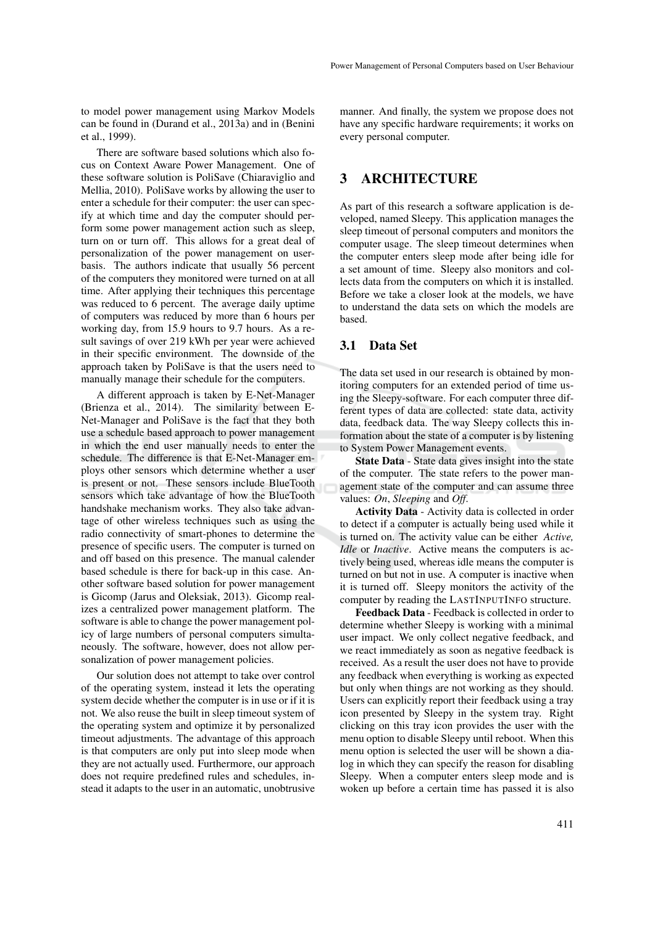to model power management using Markov Models can be found in (Durand et al., 2013a) and in (Benini et al., 1999).

There are software based solutions which also focus on Context Aware Power Management. One of these software solution is PoliSave (Chiaraviglio and Mellia, 2010). PoliSave works by allowing the user to enter a schedule for their computer: the user can specify at which time and day the computer should perform some power management action such as sleep, turn on or turn off. This allows for a great deal of personalization of the power management on userbasis. The authors indicate that usually 56 percent of the computers they monitored were turned on at all time. After applying their techniques this percentage was reduced to 6 percent. The average daily uptime of computers was reduced by more than 6 hours per working day, from 15.9 hours to 9.7 hours. As a result savings of over 219 kWh per year were achieved in their specific environment. The downside of the approach taken by PoliSave is that the users need to manually manage their schedule for the computers.

A different approach is taken by E-Net-Manager (Brienza et al., 2014). The similarity between E-Net-Manager and PoliSave is the fact that they both use a schedule based approach to power management in which the end user manually needs to enter the schedule. The difference is that E-Net-Manager employs other sensors which determine whether a user is present or not. These sensors include BlueTooth sensors which take advantage of how the BlueTooth handshake mechanism works. They also take advantage of other wireless techniques such as using the radio connectivity of smart-phones to determine the presence of specific users. The computer is turned on and off based on this presence. The manual calender based schedule is there for back-up in this case. Another software based solution for power management is Gicomp (Jarus and Oleksiak, 2013). Gicomp realizes a centralized power management platform. The software is able to change the power management policy of large numbers of personal computers simultaneously. The software, however, does not allow personalization of power management policies.

Our solution does not attempt to take over control of the operating system, instead it lets the operating system decide whether the computer is in use or if it is not. We also reuse the built in sleep timeout system of the operating system and optimize it by personalized timeout adjustments. The advantage of this approach is that computers are only put into sleep mode when they are not actually used. Furthermore, our approach does not require predefined rules and schedules, instead it adapts to the user in an automatic, unobtrusive

manner. And finally, the system we propose does not have any specific hardware requirements; it works on every personal computer.

## 3 ARCHITECTURE

As part of this research a software application is developed, named Sleepy. This application manages the sleep timeout of personal computers and monitors the computer usage. The sleep timeout determines when the computer enters sleep mode after being idle for a set amount of time. Sleepy also monitors and collects data from the computers on which it is installed. Before we take a closer look at the models, we have to understand the data sets on which the models are based.

### 3.1 Data Set

The data set used in our research is obtained by monitoring computers for an extended period of time using the Sleepy-software. For each computer three different types of data are collected: state data, activity data, feedback data. The way Sleepy collects this information about the state of a computer is by listening to System Power Management events.

State Data - State data gives insight into the state of the computer. The state refers to the power management state of the computer and can assume three values: *On*, *Sleeping* and *Off*.

Activity Data - Activity data is collected in order to detect if a computer is actually being used while it is turned on. The activity value can be either *Active, Idle* or *Inactive*. Active means the computers is actively being used, whereas idle means the computer is turned on but not in use. A computer is inactive when it is turned off. Sleepy monitors the activity of the computer by reading the LASTINPUTINFO structure.

Feedback Data - Feedback is collected in order to determine whether Sleepy is working with a minimal user impact. We only collect negative feedback, and we react immediately as soon as negative feedback is received. As a result the user does not have to provide any feedback when everything is working as expected but only when things are not working as they should. Users can explicitly report their feedback using a tray icon presented by Sleepy in the system tray. Right clicking on this tray icon provides the user with the menu option to disable Sleepy until reboot. When this menu option is selected the user will be shown a dialog in which they can specify the reason for disabling Sleepy. When a computer enters sleep mode and is woken up before a certain time has passed it is also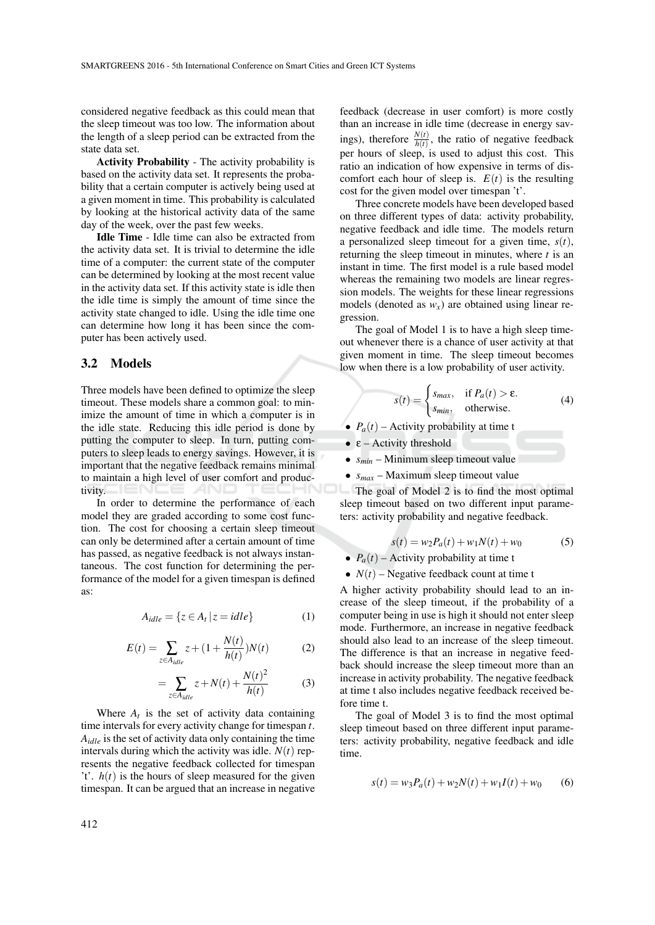considered negative feedback as this could mean that the sleep timeout was too low. The information about the length of a sleep period can be extracted from the state data set.

Activity Probability - The activity probability is based on the activity data set. It represents the probability that a certain computer is actively being used at a given moment in time. This probability is calculated by looking at the historical activity data of the same day of the week, over the past few weeks.

Idle Time - Idle time can also be extracted from the activity data set. It is trivial to determine the idle time of a computer: the current state of the computer can be determined by looking at the most recent value in the activity data set. If this activity state is idle then the idle time is simply the amount of time since the activity state changed to idle. Using the idle time one can determine how long it has been since the computer has been actively used.

#### 3.2 Models

Three models have been defined to optimize the sleep timeout. These models share a common goal: to minimize the amount of time in which a computer is in the idle state. Reducing this idle period is done by putting the computer to sleep. In turn, putting computers to sleep leads to energy savings. However, it is important that the negative feedback remains minimal to maintain a high level of user comfort and productivity.

In order to determine the performance of each model they are graded according to some cost function. The cost for choosing a certain sleep timeout can only be determined after a certain amount of time has passed, as negative feedback is not always instantaneous. The cost function for determining the performance of the model for a given timespan is defined as:

$$
A_{idle} = \{ z \in A_t \, | \, z = idle \}
$$
 (1)

$$
E(t) = \sum_{z \in A_{idle}} z + (1 + \frac{N(t)}{h(t)})N(t)
$$
 (2)

$$
=\sum_{z\in A_{idle}} z+N(t)+\frac{N(t)^2}{h(t)}
$$
(3)

Where  $A_t$  is the set of activity data containing time intervals for every activity change for timespan *t*. *Aidle* is the set of activity data only containing the time intervals during which the activity was idle.  $N(t)$  represents the negative feedback collected for timespan 't'.  $h(t)$  is the hours of sleep measured for the given timespan. It can be argued that an increase in negative

feedback (decrease in user comfort) is more costly than an increase in idle time (decrease in energy savings), therefore  $\frac{N(t)}{h(t)}$ , the ratio of negative feedback per hours of sleep, is used to adjust this cost. This ratio an indication of how expensive in terms of discomfort each hour of sleep is.  $E(t)$  is the resulting cost for the given model over timespan 't'.

Three concrete models have been developed based on three different types of data: activity probability, negative feedback and idle time. The models return a personalized sleep timeout for a given time, *s*(*t*), returning the sleep timeout in minutes, where *t* is an instant in time. The first model is a rule based model whereas the remaining two models are linear regression models. The weights for these linear regressions models (denoted as  $w_x$ ) are obtained using linear regression.

The goal of Model 1 is to have a high sleep timeout whenever there is a chance of user activity at that given moment in time. The sleep timeout becomes low when there is a low probability of user activity.

$$
s(t) = \begin{cases} s_{max}, & \text{if } P_a(t) > \varepsilon. \\ s_{min}, & \text{otherwise.} \end{cases}
$$
 (4)

- $P_a(t)$  Activity probability at time t
- $\epsilon$  Activity threshold
- *smin* Minimum sleep timeout value
- $s_{max}$  Maximum sleep timeout value

The goal of Model 2 is to find the most optimal sleep timeout based on two different input parameters: activity probability and negative feedback.

$$
s(t) = w_2 P_a(t) + w_1 N(t) + w_0 \tag{5}
$$

- $P_a(t)$  Activity probability at time t
- $N(t)$  Negative feedback count at time t

A higher activity probability should lead to an increase of the sleep timeout, if the probability of a computer being in use is high it should not enter sleep mode. Furthermore, an increase in negative feedback should also lead to an increase of the sleep timeout. The difference is that an increase in negative feedback should increase the sleep timeout more than an increase in activity probability. The negative feedback at time t also includes negative feedback received before time t.

The goal of Model 3 is to find the most optimal sleep timeout based on three different input parameters: activity probability, negative feedback and idle time.

$$
s(t) = w_3 P_a(t) + w_2 N(t) + w_1 I(t) + w_0 \tag{6}
$$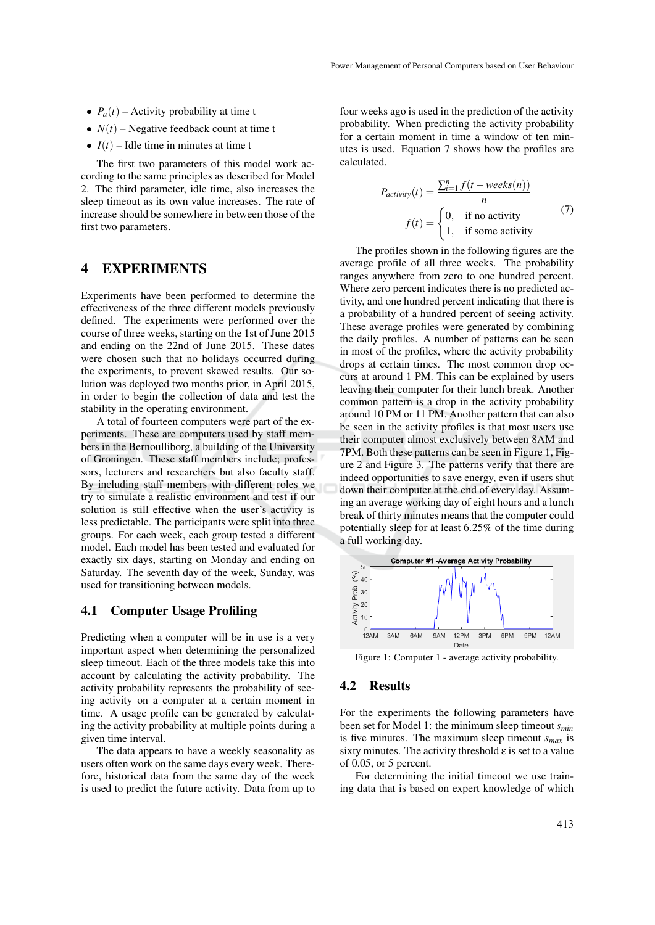- $P_a(t)$  Activity probability at time t
- $N(t)$  Negative feedback count at time t
- $I(t)$  Idle time in minutes at time t

The first two parameters of this model work according to the same principles as described for Model 2. The third parameter, idle time, also increases the sleep timeout as its own value increases. The rate of increase should be somewhere in between those of the first two parameters.

### 4 EXPERIMENTS

Experiments have been performed to determine the effectiveness of the three different models previously defined. The experiments were performed over the course of three weeks, starting on the 1st of June 2015 and ending on the 22nd of June 2015. These dates were chosen such that no holidays occurred during the experiments, to prevent skewed results. Our solution was deployed two months prior, in April 2015, in order to begin the collection of data and test the stability in the operating environment.

A total of fourteen computers were part of the experiments. These are computers used by staff members in the Bernoulliborg, a building of the University of Groningen. These staff members include; professors, lecturers and researchers but also faculty staff. By including staff members with different roles we try to simulate a realistic environment and test if our solution is still effective when the user's activity is less predictable. The participants were split into three groups. For each week, each group tested a different model. Each model has been tested and evaluated for exactly six days, starting on Monday and ending on Saturday. The seventh day of the week, Sunday, was used for transitioning between models.

#### 4.1 Computer Usage Profiling

Predicting when a computer will be in use is a very important aspect when determining the personalized sleep timeout. Each of the three models take this into account by calculating the activity probability. The activity probability represents the probability of seeing activity on a computer at a certain moment in time. A usage profile can be generated by calculating the activity probability at multiple points during a given time interval.

The data appears to have a weekly seasonality as users often work on the same days every week. Therefore, historical data from the same day of the week is used to predict the future activity. Data from up to

four weeks ago is used in the prediction of the activity probability. When predicting the activity probability for a certain moment in time a window of ten minutes is used. Equation 7 shows how the profiles are calculated.

$$
P_{activity}(t) = \frac{\sum_{i=1}^{n} f(t - weeks(n))}{n}
$$

$$
f(t) = \begin{cases} 0, & \text{if no activity} \\ 1, & \text{if some activity} \end{cases}
$$
(7)

The profiles shown in the following figures are the average profile of all three weeks. The probability ranges anywhere from zero to one hundred percent. Where zero percent indicates there is no predicted activity, and one hundred percent indicating that there is a probability of a hundred percent of seeing activity. These average profiles were generated by combining the daily profiles. A number of patterns can be seen in most of the profiles, where the activity probability drops at certain times. The most common drop occurs at around 1 PM. This can be explained by users leaving their computer for their lunch break. Another common pattern is a drop in the activity probability around 10 PM or 11 PM. Another pattern that can also be seen in the activity profiles is that most users use their computer almost exclusively between 8AM and 7PM. Both these patterns can be seen in Figure 1, Figure 2 and Figure 3. The patterns verify that there are indeed opportunities to save energy, even if users shut down their computer at the end of every day. Assuming an average working day of eight hours and a lunch break of thirty minutes means that the computer could potentially sleep for at least 6.25% of the time during a full working day.



Figure 1: Computer 1 - average activity probability.

#### 4.2 Results

For the experiments the following parameters have been set for Model 1: the minimum sleep timeout *smin* is five minutes. The maximum sleep timeout *smax* is sixty minutes. The activity threshold  $\varepsilon$  is set to a value of 0.05, or 5 percent.

For determining the initial timeout we use training data that is based on expert knowledge of which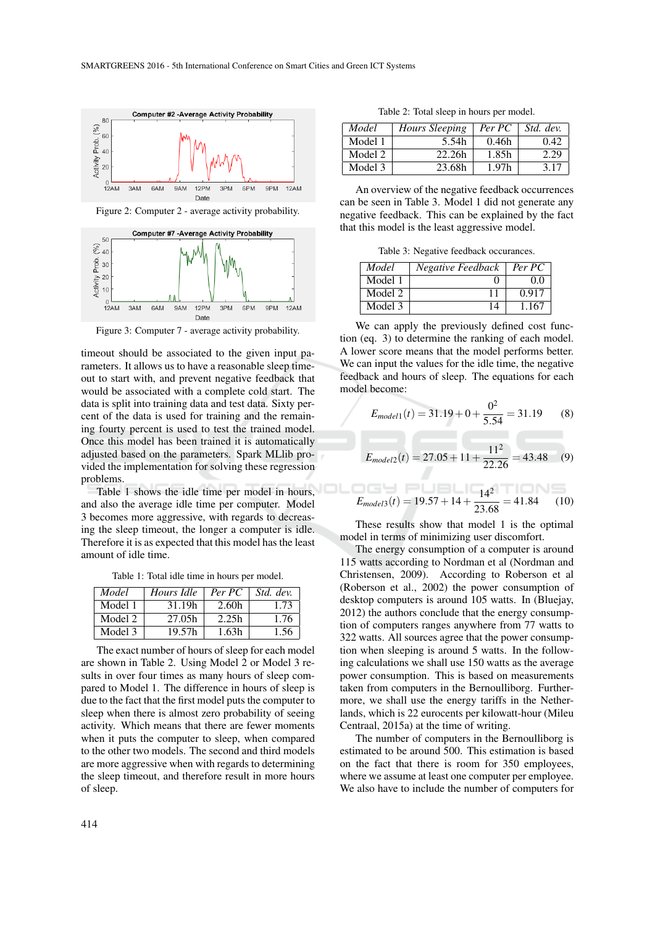

Figure 2: Computer 2 - average activity probability.



Figure 3: Computer 7 - average activity probability.

timeout should be associated to the given input parameters. It allows us to have a reasonable sleep timeout to start with, and prevent negative feedback that would be associated with a complete cold start. The data is split into training data and test data. Sixty percent of the data is used for training and the remaining fourty percent is used to test the trained model. Once this model has been trained it is automatically adjusted based on the parameters. Spark MLlib provided the implementation for solving these regression problems.

Table 1 shows the idle time per model in hours, and also the average idle time per computer. Model 3 becomes more aggressive, with regards to decreasing the sleep timeout, the longer a computer is idle. Therefore it is as expected that this model has the least amount of idle time.

Table 1: Total idle time in hours per model.

| Model   | Hours Idle | Per PC | Std. dev. |
|---------|------------|--------|-----------|
| Model 1 | 31.19h     | 2.60h  | 1.73      |
| Model 2 | 27.05h     | 2.25h  | 1.76      |
| Model 3 | 19.57h     | 1.63h  | 1.56      |

The exact number of hours of sleep for each model are shown in Table 2. Using Model 2 or Model 3 results in over four times as many hours of sleep compared to Model 1. The difference in hours of sleep is due to the fact that the first model puts the computer to sleep when there is almost zero probability of seeing activity. Which means that there are fewer moments when it puts the computer to sleep, when compared to the other two models. The second and third models are more aggressive when with regards to determining the sleep timeout, and therefore result in more hours of sleep.

Table 2: Total sleep in hours per model.

| Model   | Hours Sleeping | Per PC | Std. dev. |
|---------|----------------|--------|-----------|
| Model 1 | 5.54h          | 0.46h  | 0.42      |
| Model 2 | 22.26h         | 1.85h  | 2.29      |
| Model 3 | 23.68h         | 1.97h  | 3.17      |

An overview of the negative feedback occurrences can be seen in Table 3. Model 1 did not generate any negative feedback. This can be explained by the fact that this model is the least aggressive model.

Table 3: Negative feedback occurances.

| Model   | Negative Feedback | Per PC |
|---------|-------------------|--------|
| Model 1 |                   | 00     |
| Model 2 |                   | 0.917  |
| Model 3 | 14                | 1.167  |

We can apply the previously defined cost function (eq. 3) to determine the ranking of each model. A lower score means that the model performs better. We can input the values for the idle time, the negative feedback and hours of sleep. The equations for each model become:

$$
E_{model1}(t) = 31.19 + 0 + \frac{0^2}{5.54} = 31.19
$$
 (8)

$$
E_{model2}(t) = 27.05 + 11 + \frac{11^2}{22.26} = 43.48 \quad (9)
$$

$$
E_{model3}(t) = 19.57 + 14 + \frac{14^2}{23.68} = 41.84
$$
 (10)

These results show that model 1 is the optimal model in terms of minimizing user discomfort.

The energy consumption of a computer is around 115 watts according to Nordman et al (Nordman and Christensen, 2009). According to Roberson et al (Roberson et al., 2002) the power consumption of desktop computers is around 105 watts. In (Bluejay, 2012) the authors conclude that the energy consumption of computers ranges anywhere from 77 watts to 322 watts. All sources agree that the power consumption when sleeping is around 5 watts. In the following calculations we shall use 150 watts as the average power consumption. This is based on measurements taken from computers in the Bernoulliborg. Furthermore, we shall use the energy tariffs in the Netherlands, which is 22 eurocents per kilowatt-hour (Mileu Centraal, 2015a) at the time of writing.

The number of computers in the Bernoulliborg is estimated to be around 500. This estimation is based on the fact that there is room for 350 employees, where we assume at least one computer per employee. We also have to include the number of computers for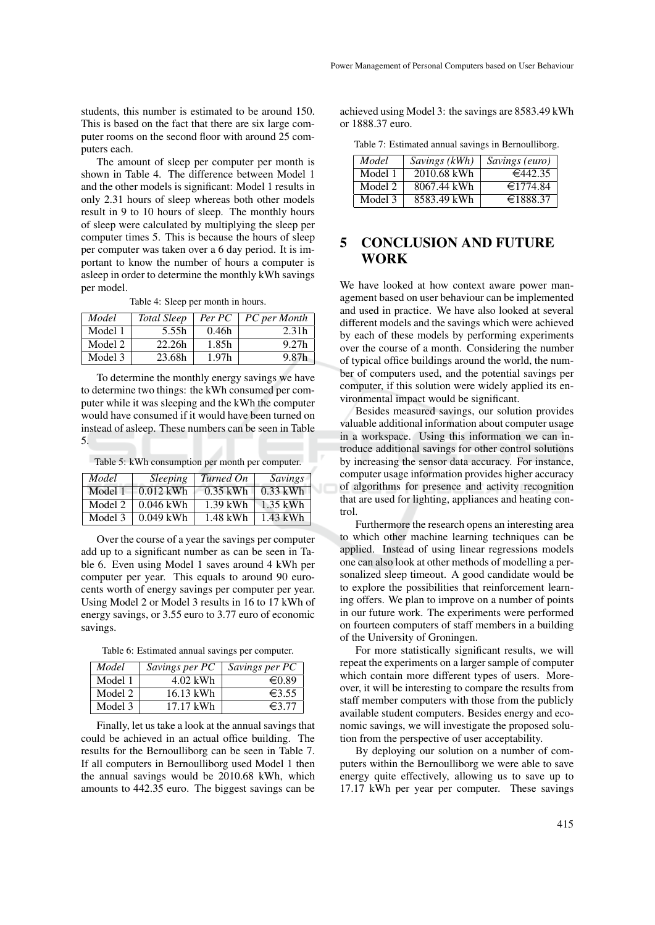students, this number is estimated to be around 150. This is based on the fact that there are six large computer rooms on the second floor with around 25 computers each.

The amount of sleep per computer per month is shown in Table 4. The difference between Model 1 and the other models is significant: Model 1 results in only 2.31 hours of sleep whereas both other models result in 9 to 10 hours of sleep. The monthly hours of sleep were calculated by multiplying the sleep per computer times 5. This is because the hours of sleep per computer was taken over a 6 day period. It is important to know the number of hours a computer is asleep in order to determine the monthly kWh savings per model.

Table 4: Sleep per month in hours.

| Model   | Total Sleep | Per PC            | PC per Month |
|---------|-------------|-------------------|--------------|
| Model 1 | 5.55h       | 0.46h             | 2.31h        |
| Model 2 | 22.26h      | 1.85h             | 9.27h        |
| Model 3 | 23.68h      | 1.97 <sub>h</sub> | 9.87h        |

To determine the monthly energy savings we have to determine two things: the kWh consumed per computer while it was sleeping and the kWh the computer would have consumed if it would have been turned on instead of asleep. These numbers can be seen in Table 5.

Table 5: kWh consumption per month per computer.

| Model   | <i>Sleeping</i> | Turned On  | Savings    |
|---------|-----------------|------------|------------|
| Model 1 | $0.012$ kWh     | $0.35$ kWh | $0.33$ kWh |
| Model 2 | $0.046$ kWh     | $1.39$ kWh | $1.35$ kWh |
| Model 3 | $0.049$ kWh     | 1.48 kWh   | $1.43$ kWh |

Over the course of a year the savings per computer add up to a significant number as can be seen in Table 6. Even using Model 1 saves around 4 kWh per computer per year. This equals to around 90 eurocents worth of energy savings per computer per year. Using Model 2 or Model 3 results in 16 to 17 kWh of energy savings, or 3.55 euro to 3.77 euro of economic savings.

Table 6: Estimated annual savings per computer.

| Model   | Savings per PC | Savings per PC  |
|---------|----------------|-----------------|
| Model 1 | 4.02 kWh       | $\epsilon 0.89$ |
| Model 2 | 16.13 kWh      | $\epsilon$ 3.55 |
| Model 3 | 17.17 kWh      | $\epsilon$ 3.77 |

Finally, let us take a look at the annual savings that could be achieved in an actual office building. The results for the Bernoulliborg can be seen in Table 7. If all computers in Bernoulliborg used Model 1 then the annual savings would be 2010.68 kWh, which amounts to 442.35 euro. The biggest savings can be

achieved using Model 3: the savings are 8583.49 kWh or 1888.37 euro.

Table 7: Estimated annual savings in Bernoulliborg.

| Model   | Savings (kWh) | Savings (euro)     |
|---------|---------------|--------------------|
| Model 1 | 2010.68 kWh   | $\epsilon$ 442.35  |
| Model 2 | 8067.44 kWh   | $\epsilon$ 1774.84 |
| Model 3 | 8583.49 kWh   | €1888.37           |

## 5 CONCLUSION AND FUTURE **WORK**

We have looked at how context aware power management based on user behaviour can be implemented and used in practice. We have also looked at several different models and the savings which were achieved by each of these models by performing experiments over the course of a month. Considering the number of typical office buildings around the world, the number of computers used, and the potential savings per computer, if this solution were widely applied its environmental impact would be significant.

Besides measured savings, our solution provides valuable additional information about computer usage in a workspace. Using this information we can introduce additional savings for other control solutions by increasing the sensor data accuracy. For instance, computer usage information provides higher accuracy of algorithms for presence and activity recognition that are used for lighting, appliances and heating control.

Furthermore the research opens an interesting area to which other machine learning techniques can be applied. Instead of using linear regressions models one can also look at other methods of modelling a personalized sleep timeout. A good candidate would be to explore the possibilities that reinforcement learning offers. We plan to improve on a number of points in our future work. The experiments were performed on fourteen computers of staff members in a building of the University of Groningen.

For more statistically significant results, we will repeat the experiments on a larger sample of computer which contain more different types of users. Moreover, it will be interesting to compare the results from staff member computers with those from the publicly available student computers. Besides energy and economic savings, we will investigate the proposed solution from the perspective of user acceptability.

By deploying our solution on a number of computers within the Bernoulliborg we were able to save energy quite effectively, allowing us to save up to 17.17 kWh per year per computer. These savings